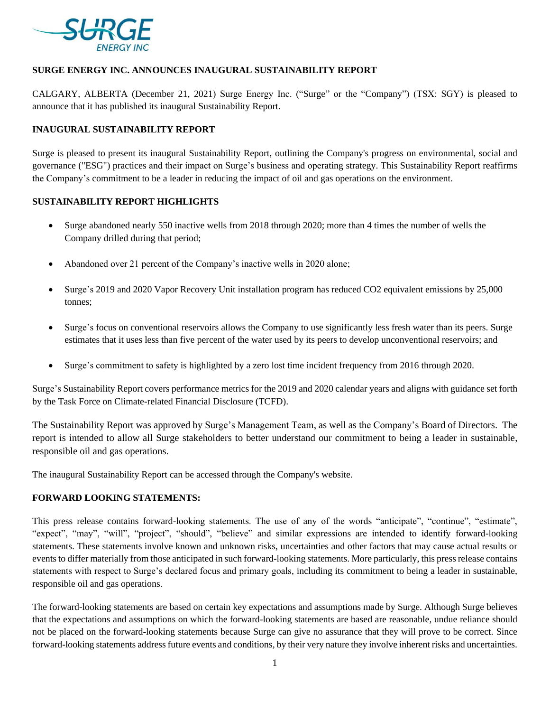

## **SURGE ENERGY INC. ANNOUNCES INAUGURAL SUSTAINABILITY REPORT**

CALGARY, ALBERTA (December 21, 2021) Surge Energy Inc. ("Surge" or the "Company") (TSX: SGY) is pleased to announce that it has published its inaugural Sustainability Report.

# **INAUGURAL SUSTAINABILITY REPORT**

Surge is pleased to present its inaugural Sustainability Report, outlining the Company's progress on environmental, social and governance ("ESG") practices and their impact on Surge's business and operating strategy. This Sustainability Report reaffirms the Company's commitment to be a leader in reducing the impact of oil and gas operations on the environment.

#### **SUSTAINABILITY REPORT HIGHLIGHTS**

- Surge abandoned nearly 550 inactive wells from 2018 through 2020; more than 4 times the number of wells the Company drilled during that period;
- Abandoned over 21 percent of the Company's inactive wells in 2020 alone;
- Surge's 2019 and 2020 Vapor Recovery Unit installation program has reduced CO2 equivalent emissions by 25,000 tonnes;
- Surge's focus on conventional reservoirs allows the Company to use significantly less fresh water than its peers. Surge estimates that it uses less than five percent of the water used by its peers to develop unconventional reservoirs; and
- Surge's commitment to safety is highlighted by a zero lost time incident frequency from 2016 through 2020.

Surge's Sustainability Report covers performance metrics for the 2019 and 2020 calendar years and aligns with guidance set forth by the Task Force on Climate-related Financial Disclosure (TCFD).

The Sustainability Report was approved by Surge's Management Team, as well as the Company's Board of Directors. The report is intended to allow all Surge stakeholders to better understand our commitment to being a leader in sustainable, responsible oil and gas operations.

The inaugural Sustainability Report can be accessed through the Company's website.

#### **FORWARD LOOKING STATEMENTS:**

This press release contains forward-looking statements. The use of any of the words "anticipate", "continue", "estimate", "expect", "may", "will", "project", "should", "believe" and similar expressions are intended to identify forward-looking statements. These statements involve known and unknown risks, uncertainties and other factors that may cause actual results or events to differ materially from those anticipated in such forward-looking statements. More particularly, this press release contains statements with respect to Surge's declared focus and primary goals, including its commitment to being a leader in sustainable, responsible oil and gas operations.

The forward-looking statements are based on certain key expectations and assumptions made by Surge. Although Surge believes that the expectations and assumptions on which the forward-looking statements are based are reasonable, undue reliance should not be placed on the forward-looking statements because Surge can give no assurance that they will prove to be correct. Since forward-looking statements address future events and conditions, by their very nature they involve inherent risks and uncertainties.